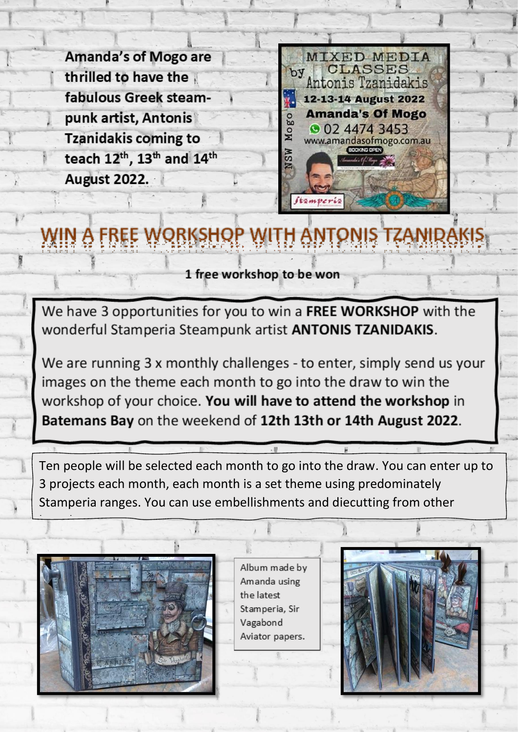**Amanda's of Mogo are** thrilled to have the fabulous Greek steampunk artist, Antonis **Tzanidakis coming to** teach 12th, 13th and 14th **August 2022.** 



## H A

1 free workshop to be won

We have 3 opportunities for you to win a FREE WORKSHOP with the wonderful Stamperia Steampunk artist ANTONIS TZANIDAKIS.

We are running 3 x monthly challenges - to enter, simply send us your images on the theme each month to go into the draw to win the workshop of your choice. You will have to attend the workshop in Batemans Bay on the weekend of 12th 13th or 14th August 2022.

Ten people will be selected each month to go into the draw. You can enter up to 3 projects each month, each month is a set theme using predominately Stamperia ranges. You can use embellishments and diecutting from other



Album made by Amanda using the latest Stamperia, Sir Vagabond Aviator papers.